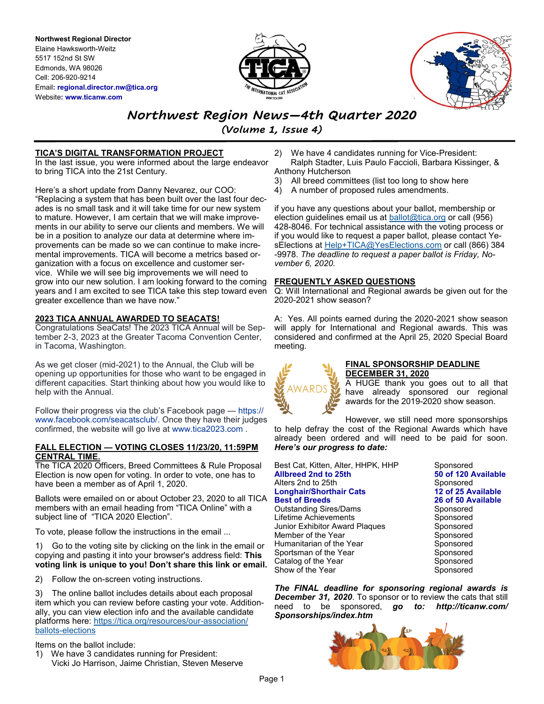**Northwest Regional Director** Elaine Hawksworth-Weitz 5517 152nd St SW Edmonds, WA 98026 Cell: 206-920-9214 Email**: regional.director.nw@tica.org** Website**: www.ticanw.com**



# *Northwest Region News—4th Quarter 2020*

*(Volume 1, Issue 4)*

# **TICA'S DIGITAL TRANSFORMATION PROJECT**

In the last issue, you were informed about the large endeavor to bring TICA into the 21st Century.

Here's a short update from Danny Nevarez, our COO: "Replacing a system that has been built over the last four decades is no small task and it will take time for our new system to mature. However, I am certain that we will make improvements in our ability to serve our clients and members. We will be in a position to analyze our data at determine where improvements can be made so we can continue to make incremental improvements. TICA will become a metrics based organization with a focus on excellence and customer service. While we will see big improvements we will need to grow into our new solution. I am looking forward to the coming years and I am excited to see TICA take this step toward even greater excellence than we have now."

# **2023 TICA ANNUAL AWARDED TO SEACATS!**

Congratulations SeaCats! The 2023 TICA Annual will be September 2-3, 2023 at the Greater Tacoma Convention Center, in Tacoma, Washington.

As we get closer (mid-2021) to the Annual, the Club will be opening up opportunities for those who want to be engaged in different capacities. Start thinking about how you would like to help with the Annual.

Follow their progress via the club's Facebook page — https:// www.facebook.com/seacatsclub/. Once they have their judges confirmed, the website will go live at www.tica2023.com .

### **FALL ELECTION — VOTING CLOSES 11/23/20, 11:59PM CENTRAL TIME.**

The TICA 2020 Officers, Breed Committees & Rule Proposal Election is now open for voting. In order to vote, one has to have been a member as of April 1, 2020.

Ballots were emailed on or about October 23, 2020 to all TICA members with an email heading from "TICA Online" with a subject line of "TICA 2020 Election".

To vote, please follow the instructions in the email ...

1) Go to the voting site by clicking on the link in the email or copying and pasting it into your browser's address field: **This voting link is unique to you! Don't share this link or email.**

2) Follow the on-screen voting instructions.

The online ballot includes details about each proposal item which you can review before casting your vote. Additionally, you can view election info and the available candidate platforms here: [https://tica.org/resources/our](https://kyri7zl2.r.us-east-1.awstrack.me/L0/https:%2F%2Ftica.org%2Fresources%2Four-association%2Fballots-elections/1/0100017555c2b1f6-ecec8c41-68c6-4f2a-ae8f-9694c35fc899-000000/ulbh6-i7734RcXKcl7NQQ1CT6G0=185)-association/ ballots-[elections](https://kyri7zl2.r.us-east-1.awstrack.me/L0/https:%2F%2Ftica.org%2Fresources%2Four-association%2Fballots-elections/1/0100017555c2b1f6-ecec8c41-68c6-4f2a-ae8f-9694c35fc899-000000/ulbh6-i7734RcXKcl7NQQ1CT6G0=185)

Items on the ballot include:

1) We have 3 candidates running for President: Vicki Jo Harrison, Jaime Christian, Steven Meserve

- 2) We have 4 candidates running for Vice-President: Ralph Stadter, Luis Paulo Faccioli, Barbara Kissinger, & Anthony Hutcherson
- 3) All breed committees (list too long to show here
- 4) A number of proposed rules amendments.

if you have any questions about your ballot, membership or election guidelines email us at [ballot@tica.org](mailto:ballot@tica.org) or call (956) 428-8046. For technical assistance with the voting process or if you would like to request a paper ballot, please contact Ye-sElections at [Help+TICA@YesElections.com](mailto:Help+TICA@YesElections.com) or call (866) 384 -9978. *The deadline to request a paper ballot is Friday, November 6, 2020.*

# **FREQUENTLY ASKED QUESTIONS**

Q: Will International and Regional awards be given out for the 2020-2021 show season?

A: Yes. All points earned during the 2020-2021 show season will apply for International and Regional awards. This was considered and confirmed at the April 25, 2020 Special Board meeting.



## **FINAL SPONSORSHIP DEADLINE DECEMBER 31, 2020**

A HUGE thank you goes out to all that have already sponsored our regional awards for the 2019-2020 show season.

However, we still need more sponsorships to help defray the cost of the Regional Awards which have already been ordered and will need to be paid for soon. *Here's our progress to date:*

| Best Cat, Kitten, Alter, HHPK, HHP |
|------------------------------------|
| Allbreed 2nd to 25th               |
| Alters 2nd to 25th                 |
| Longhair/Shorthair Cats            |
| <b>Best of Breeds</b>              |
| Outstanding Sires/Dams             |
| Lifetime Achievements              |
| Junior Exhibitor Award Plaques     |
| Member of the Year                 |
| Humanitarian of the Year           |
| Sportsman of the Year              |
| Catalog of the Year                |
| Show of the Year                   |
|                                    |

Sponsored **50 of 120 Available** Sponsored **Longhair/Shorthair Cats 12 of 25 Available Best of Breeds 26 of 50 Available** Sponsored Sponsored Sponsored Sponsored Sponsored Sponsored Sponsored Sponsored

*The FINAL deadline for sponsoring regional awards is December 31, 2020*. To sponsor or to review the cats that still need to be sponsored, *go to: http://ticanw.com/ Sponsorships/index.htm*